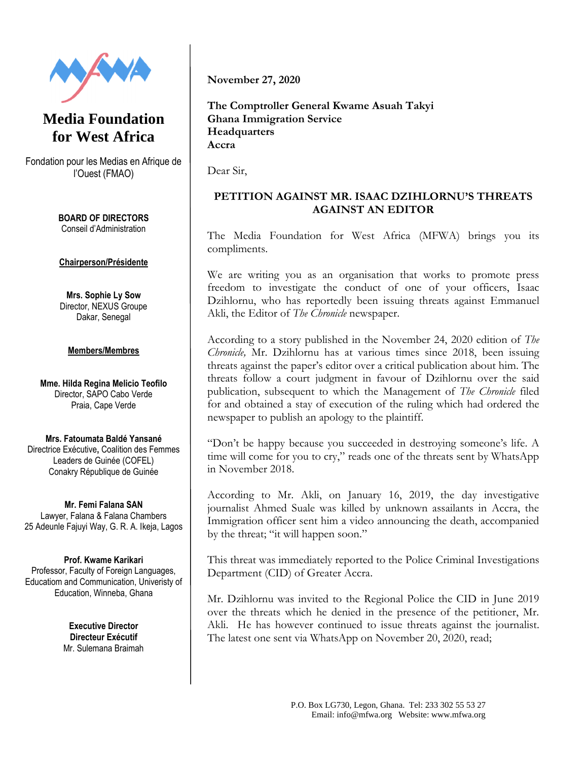



Fondation pour les Medias en Afrique de l'Ouest (FMAO)

> **BOARD OF DIRECTORS** Conseil d'Administration

## **Chairperson/Présidente**

**Mrs. Sophie Ly Sow** Director, NEXUS Groupe Dakar, Senegal

## **Members/Membres**

**Mme. Hilda Regina Melicio Teofilo** Director, SAPO Cabo Verde Praia, Cape Verde

**Mrs. Fatoumata Baldé Yansané** Directrice Exécutive**,** Coalition des Femmes Leaders de Guinée (COFEL) Conakry République de Guinée

**Mr. Femi Falana SAN** Lawyer, Falana & Falana Chambers 25 Adeunle Fajuyi Way, G. R. A. Ikeja, Lagos

**Prof. Kwame Karikari** Professor, Faculty of Foreign Languages, Educatiom and Communication, Univeristy of Education, Winneba, Ghana

> **Executive Director Directeur Exécutif**  Mr. Sulemana Braimah

**November 27, 2020**

**The Comptroller General Kwame Asuah Takyi Ghana Immigration Service Headquarters Accra**

Dear Sir,

## **PETITION AGAINST MR. ISAAC DZIHLORNU'S THREATS AGAINST AN EDITOR**

The Media Foundation for West Africa (MFWA) brings you its compliments.

We are writing you as an organisation that works to promote press freedom to investigate the conduct of one of your officers, Isaac Dzihlornu, who has reportedly been issuing threats against Emmanuel Akli, the Editor of *The Chronicle* newspaper.

According to a story published in the November 24, 2020 edition of *The Chronicle,* Mr. Dzihlornu has at various times since 2018, been issuing threats against the paper's editor over a critical publication about him. The threats follow a court judgment in favour of Dzihlornu over the said publication, subsequent to which the Management of *The Chronicle* filed for and obtained a stay of execution of the ruling which had ordered the newspaper to publish an apology to the plaintiff.

"Don't be happy because you succeeded in destroying someone's life. A time will come for you to cry," reads one of the threats sent by WhatsApp in November 2018.

According to Mr. Akli, on January 16, 2019, the day investigative journalist Ahmed Suale was killed by unknown assailants in Accra, the Immigration officer sent him a video announcing the death, accompanied by the threat; "it will happen soon."

This threat was immediately reported to the Police Criminal Investigations Department (CID) of Greater Accra.

Mr. Dzihlornu was invited to the Regional Police the CID in June 2019 over the threats which he denied in the presence of the petitioner, Mr. Akli. He has however continued to issue threats against the journalist. The latest one sent via WhatsApp on November 20, 2020, read;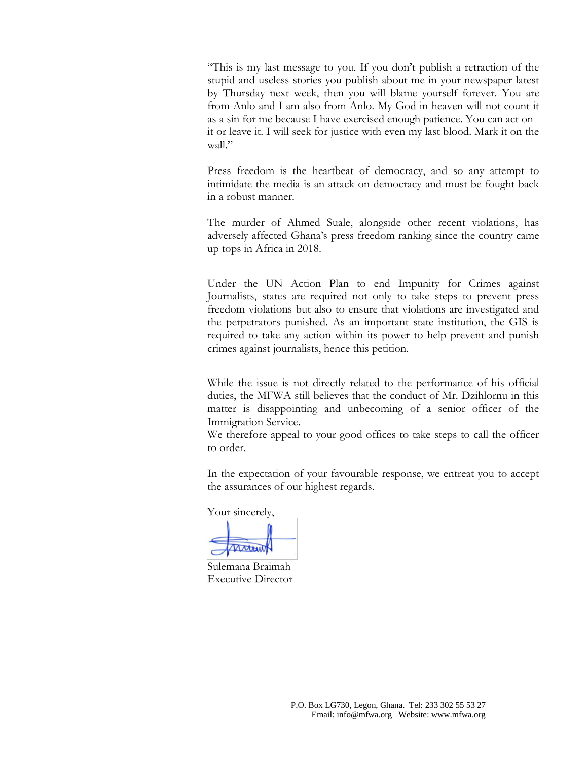"This is my last message to you. If you don't publish a retraction of the stupid and useless stories you publish about me in your newspaper latest by Thursday next week, then you will blame yourself forever. You are from Anlo and I am also from Anlo. My God in heaven will not count it as a sin for me because I have exercised enough patience. You can act on it or leave it. I will seek for justice with even my last blood. Mark it on the wall."

Press freedom is the heartbeat of democracy, and so any attempt to intimidate the media is an attack on democracy and must be fought back in a robust manner.

The murder of Ahmed Suale, alongside other recent violations, has adversely affected Ghana's press freedom ranking since the country came up tops in Africa in 2018.

Under the UN Action Plan to end Impunity for Crimes against Journalists, states are required not only to take steps to prevent press freedom violations but also to ensure that violations are investigated and the perpetrators punished. As an important state institution, the GIS is required to take any action within its power to help prevent and punish crimes against journalists, hence this petition.

While the issue is not directly related to the performance of his official duties, the MFWA still believes that the conduct of Mr. Dzihlornu in this matter is disappointing and unbecoming of a senior officer of the Immigration Service.

We therefore appeal to your good offices to take steps to call the officer to order.

In the expectation of your favourable response, we entreat you to accept the assurances of our highest regards.

Your sincerely,

Sulemana Braimah Executive Director